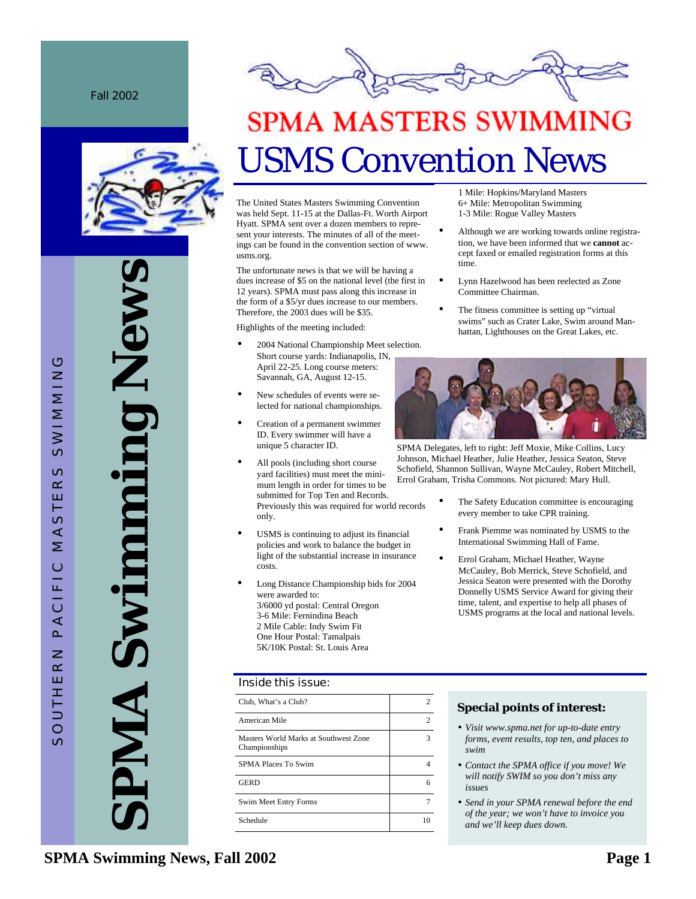Fall 2002



**SPMA Swimming News** New **UUIMA** PMA



# **SPMA MASTERS SWIMMING** USMS Convention News

The United States Masters Swimming Convention was held Sept. 11-15 at the Dallas-Ft. Worth Airport Hyatt. SPMA sent over a dozen members to represent your interests. The minutes of all of the meetings can be found in the convention section of www. usms.org.

The unfortunate news is that we will be having a dues increase of \$5 on the national level (the first in 12 years). SPMA must pass along this increase in the form of a \$5/yr dues increase to our members. Therefore, the 2003 dues will be \$35.

Highlights of the meeting included:

- 2004 National Championship Meet selection. Short course yards: Indianapolis, IN, April 22-25. Long course meters: Savannah, GA, August 12-15.
- New schedules of events were selected for national championships.
- Creation of a permanent swimmer ID. Every swimmer will have a unique 5 character ID.
- All pools (including short course yard facilities) must meet the minimum length in order for times to be submitted for Top Ten and Records. Previously this was required for world records only.
- USMS is continuing to adjust its financial policies and work to balance the budget in light of the substantial increase in insurance costs.
- Long Distance Championship bids for 2004 were awarded to: 3/6000 yd postal: Central Oregon 3-6 Mile: Fernindina Beach 2 Mile Cable: Indy Swim Fit One Hour Postal: Tamalpais 5K/10K Postal: St. Louis Area

### Inside this issue:

| Club, What's a Club?                                   | 2  |
|--------------------------------------------------------|----|
| American Mile                                          | 2  |
| Masters World Marks at Southwest Zone<br>Championships | 3  |
| SPMA Places To Swim                                    |    |
| <b>GERD</b>                                            | 6  |
| Swim Meet Entry Forms                                  | 7  |
| Schedule                                               | 10 |

1 Mile: Hopkins/Maryland Masters 6+ Mile: Metropolitan Swimming 1-3 Mile: Rogue Valley Masters

- Although we are working towards online registration, we have been informed that we **cannot** accept faxed or emailed registration forms at this time.
- Lynn Hazelwood has been reelected as Zone Committee Chairman.
- The fitness committee is setting up "virtual swims" such as Crater Lake, Swim around Manhattan, Lighthouses on the Great Lakes, etc.



SPMA Delegates, left to right: Jeff Moxie, Mike Collins, Lucy Johnson, Michael Heather, Julie Heather, Jessica Seaton, Steve Schofield, Shannon Sullivan, Wayne McCauley, Robert Mitchell, Errol Graham, Trisha Commons. Not pictured: Mary Hull.

- The Safety Education committee is encouraging every member to take CPR training.
- Frank Piemme was nominated by USMS to the International Swimming Hall of Fame.
- Errol Graham, Michael Heather, Wayne McCauley, Bob Merrick, Steve Schofield, and Jessica Seaton were presented with the Dorothy Donnelly USMS Service Award for giving their time, talent, and expertise to help all phases of USMS programs at the local and national levels.

### **Special points of interest:**

- *Visit www.spma.net for up-to-date entry forms, event results, top ten, and places to swim*
- *Contact the SPMA office if you move! We will notify SWIM so you don't miss any issues*
- *Send in your SPMA renewal before the end of the year; we won't have to invoice you and we'll keep dues down.*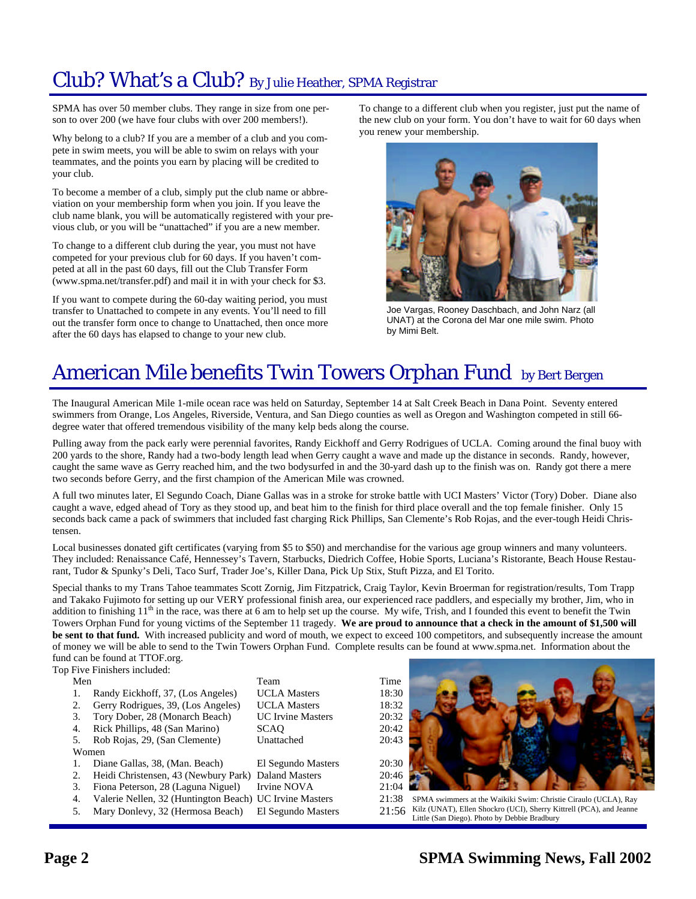# Club? What's a Club? By Julie Heather, SPMA Registrar

SPMA has over 50 member clubs. They range in size from one person to over 200 (we have four clubs with over 200 members!).

Why belong to a club? If you are a member of a club and you compete in swim meets, you will be able to swim on relays with your teammates, and the points you earn by placing will be credited to your club.

To become a member of a club, simply put the club name or abbreviation on your membership form when you join. If you leave the club name blank, you will be automatically registered with your previous club, or you will be "unattached" if you are a new member.

To change to a different club during the year, you must not have competed for your previous club for 60 days. If you haven't competed at all in the past 60 days, fill out the Club Transfer Form (www.spma.net/transfer.pdf) and mail it in with your check for \$3.

If you want to compete during the 60-day waiting period, you must transfer to Unattached to compete in any events. You'll need to fill out the transfer form once to change to Unattached, then once more after the 60 days has elapsed to change to your new club.

To change to a different club when you register, just put the name of the new club on your form. You don't have to wait for 60 days when you renew your membership.



Joe Vargas, Rooney Daschbach, and John Narz (all UNAT) at the Corona del Mar one mile swim. Photo by Mimi Belt.

# American Mile benefits Twin Towers Orphan Fund by Bert Bergen

The Inaugural American Mile 1-mile ocean race was held on Saturday, September 14 at Salt Creek Beach in Dana Point. Seventy entered swimmers from Orange, Los Angeles, Riverside, Ventura, and San Diego counties as well as Oregon and Washington competed in still 66 degree water that offered tremendous visibility of the many kelp beds along the course.

Pulling away from the pack early were perennial favorites, Randy Eickhoff and Gerry Rodrigues of UCLA. Coming around the final buoy with 200 yards to the shore, Randy had a two-body length lead when Gerry caught a wave and made up the distance in seconds. Randy, however, caught the same wave as Gerry reached him, and the two bodysurfed in and the 30-yard dash up to the finish was on. Randy got there a mere two seconds before Gerry, and the first champion of the American Mile was crowned.

A full two minutes later, El Segundo Coach, Diane Gallas was in a stroke for stroke battle with UCI Masters' Victor (Tory) Dober. Diane also caught a wave, edged ahead of Tory as they stood up, and beat him to the finish for third place overall and the top female finisher. Only 15 seconds back came a pack of swimmers that included fast charging Rick Phillips, San Clemente's Rob Rojas, and the ever-tough Heidi Christensen.

Local businesses donated gift certificates (varying from \$5 to \$50) and merchandise for the various age group winners and many volunteers. They included: Renaissance Café, Hennessey's Tavern, Starbucks, Diedrich Coffee, Hobie Sports, Luciana's Ristorante, Beach House Restaurant, Tudor & Spunky's Deli, Taco Surf, Trader Joe's, Killer Dana, Pick Up Stix, Stuft Pizza, and El Torito.

Special thanks to my Trans Tahoe teammates Scott Zornig, Jim Fitzpatrick, Craig Taylor, Kevin Broerman for registration/results, Tom Trapp and Takako Fujimoto for setting up our VERY professional finish area, our experienced race paddlers, and especially my brother, Jim, who in addition to finishing  $11<sup>th</sup>$  in the race, was there at 6 am to help set up the course. My wife, Trish, and I founded this event to benefit the Twin Towers Orphan Fund for young victims of the September 11 tragedy. **We are proud to announce that a check in the amount of \$1,500 will be sent to that fund.** With increased publicity and word of mouth, we expect to exceed 100 competitors, and subsequently increase the amount of money we will be able to send to the Twin Towers Orphan Fund. Complete results can be found at www.spma.net. Information about the fund can be found at TTOF.org.

Top Five Finishers included:

- Men Team Team Time 1. Randy Eickhoff, 37, (Los Angeles) UCLA Masters 18:30
- 2. Gerry Rodrigues, 39, (Los Angeles) UCLA Masters 18:32
- 3. Tory Dober, 28 (Monarch Beach) UC Irvine Masters 20:32
- 4. Rick Phillips, 48 (San Marino) SCAQ 20:42
- 5. Rob Rojas, 29, (San Clemente) Unattached 20:43
- Women
- 1. Diane Gallas, 38, (Man. Beach) El Segundo Masters 20:30
- 
- 2. Heidi Christensen, 43 (Newbury Park) Daland Masters 20:46<br>3. Fiona Peterson, 28 (Laguna Niguel) Irvine NOVA 21:04 3. Fiona Peterson, 28 (Laguna Niguel) Irvine NOVA
- 4. Valerie Nellen, 32 (Huntington Beach) UC Irvine Masters 21:38
- 5. Mary Donlevy, 32 (Hermosa Beach) El Segundo Masters 21:56



SPMA swimmers at the Waikiki Swim: Christie Ciraulo (UCLA), Ray Kilz (UNAT), Ellen Shockro (UCI), Sherry Kittrell (PCA), and Jeanne Little (San Diego). Photo by Debbie Bradbury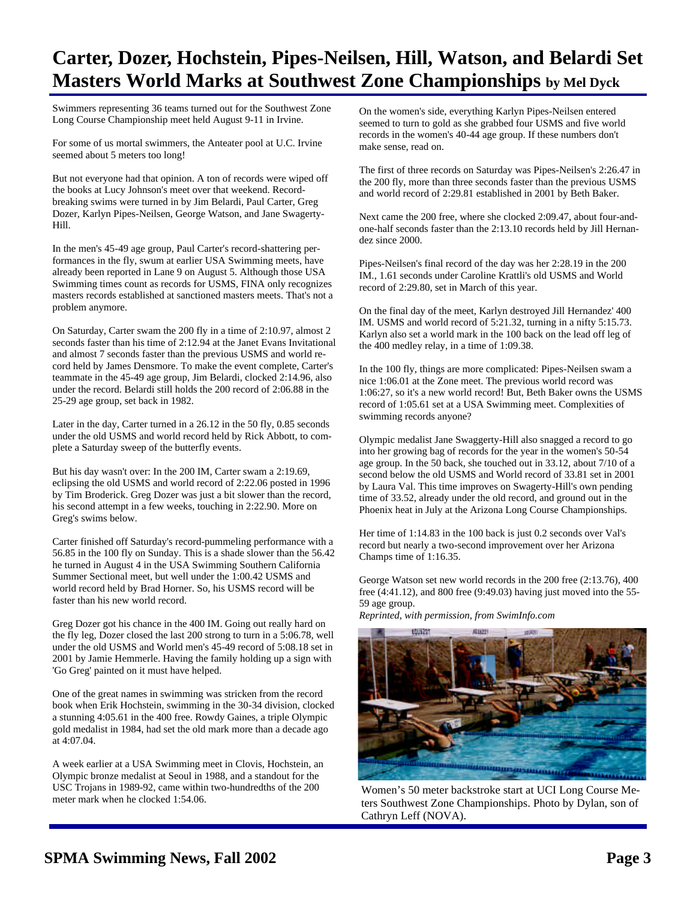## **Carter, Dozer, Hochstein, Pipes-Neilsen, Hill, Watson, and Belardi Set Masters World Marks at Southwest Zone Championships by Mel Dyck**

Swimmers representing 36 teams turned out for the Southwest Zone Long Course Championship meet held August 9-11 in Irvine.

For some of us mortal swimmers, the Anteater pool at U.C. Irvine seemed about 5 meters too long!

But not everyone had that opinion. A ton of records were wiped off the books at Lucy Johnson's meet over that weekend. Recordbreaking swims were turned in by Jim Belardi, Paul Carter, Greg Dozer, Karlyn Pipes-Neilsen, George Watson, and Jane Swagerty-Hill.

In the men's 45-49 age group, Paul Carter's record-shattering performances in the fly, swum at earlier USA Swimming meets, have already been reported in Lane 9 on August 5. Although those USA Swimming times count as records for USMS, FINA only recognizes masters records established at sanctioned masters meets. That's not a problem anymore.

On Saturday, Carter swam the 200 fly in a time of 2:10.97, almost 2 seconds faster than his time of 2:12.94 at the Janet Evans Invitational and almost 7 seconds faster than the previous USMS and world record held by James Densmore. To make the event complete, Carter's teammate in the 45-49 age group, Jim Belardi, clocked 2:14.96, also under the record. Belardi still holds the 200 record of 2:06.88 in the 25-29 age group, set back in 1982.

Later in the day, Carter turned in a 26.12 in the 50 fly, 0.85 seconds under the old USMS and world record held by Rick Abbott, to complete a Saturday sweep of the butterfly events.

But his day wasn't over: In the 200 IM, Carter swam a 2:19.69, eclipsing the old USMS and world record of 2:22.06 posted in 1996 by Tim Broderick. Greg Dozer was just a bit slower than the record, his second attempt in a few weeks, touching in 2:22.90. More on Greg's swims below.

Carter finished off Saturday's record-pummeling performance with a 56.85 in the 100 fly on Sunday. This is a shade slower than the 56.42 he turned in August 4 in the USA Swimming Southern California Summer Sectional meet, but well under the 1:00.42 USMS and world record held by Brad Horner. So, his USMS record will be faster than his new world record.

Greg Dozer got his chance in the 400 IM. Going out really hard on the fly leg, Dozer closed the last 200 strong to turn in a 5:06.78, well under the old USMS and World men's 45-49 record of 5:08.18 set in 2001 by Jamie Hemmerle. Having the family holding up a sign with 'Go Greg' painted on it must have helped.

One of the great names in swimming was stricken from the record book when Erik Hochstein, swimming in the 30-34 division, clocked a stunning 4:05.61 in the 400 free. Rowdy Gaines, a triple Olympic gold medalist in 1984, had set the old mark more than a decade ago at 4:07.04.

A week earlier at a USA Swimming meet in Clovis, Hochstein, an Olympic bronze medalist at Seoul in 1988, and a standout for the USC Trojans in 1989-92, came within two-hundredths of the 200 meter mark when he clocked 1:54.06.

On the women's side, everything Karlyn Pipes-Neilsen entered seemed to turn to gold as she grabbed four USMS and five world records in the women's 40-44 age group. If these numbers don't make sense, read on.

The first of three records on Saturday was Pipes-Neilsen's 2:26.47 in the 200 fly, more than three seconds faster than the previous USMS and world record of 2:29.81 established in 2001 by Beth Baker.

Next came the 200 free, where she clocked 2:09.47, about four-andone-half seconds faster than the 2:13.10 records held by Jill Hernandez since 2000.

Pipes-Neilsen's final record of the day was her 2:28.19 in the 200 IM., 1.61 seconds under Caroline Krattli's old USMS and World record of 2:29.80, set in March of this year.

On the final day of the meet, Karlyn destroyed Jill Hernandez' 400 IM. USMS and world record of 5:21.32, turning in a nifty 5:15.73. Karlyn also set a world mark in the 100 back on the lead off leg of the 400 medley relay, in a time of 1:09.38.

In the 100 fly, things are more complicated: Pipes-Neilsen swam a nice 1:06.01 at the Zone meet. The previous world record was 1:06:27, so it's a new world record! But, Beth Baker owns the USMS record of 1:05.61 set at a USA Swimming meet. Complexities of swimming records anyone?

Olympic medalist Jane Swaggerty-Hill also snagged a record to go into her growing bag of records for the year in the women's 50-54 age group. In the 50 back, she touched out in 33.12, about 7/10 of a second below the old USMS and World record of 33.81 set in 2001 by Laura Val. This time improves on Swagerty-Hill's own pending time of 33.52, already under the old record, and ground out in the Phoenix heat in July at the Arizona Long Course Championships.

Her time of 1:14.83 in the 100 back is just 0.2 seconds over Val's record but nearly a two-second improvement over her Arizona Champs time of 1:16.35.

George Watson set new world records in the 200 free (2:13.76), 400 free (4:41.12), and 800 free (9:49.03) having just moved into the 55- 59 age group.

*Reprinted, with permission, from SwimInfo.com*



Women's 50 meter backstroke start at UCI Long Course Meters Southwest Zone Championships. Photo by Dylan, son of Cathryn Leff (NOVA).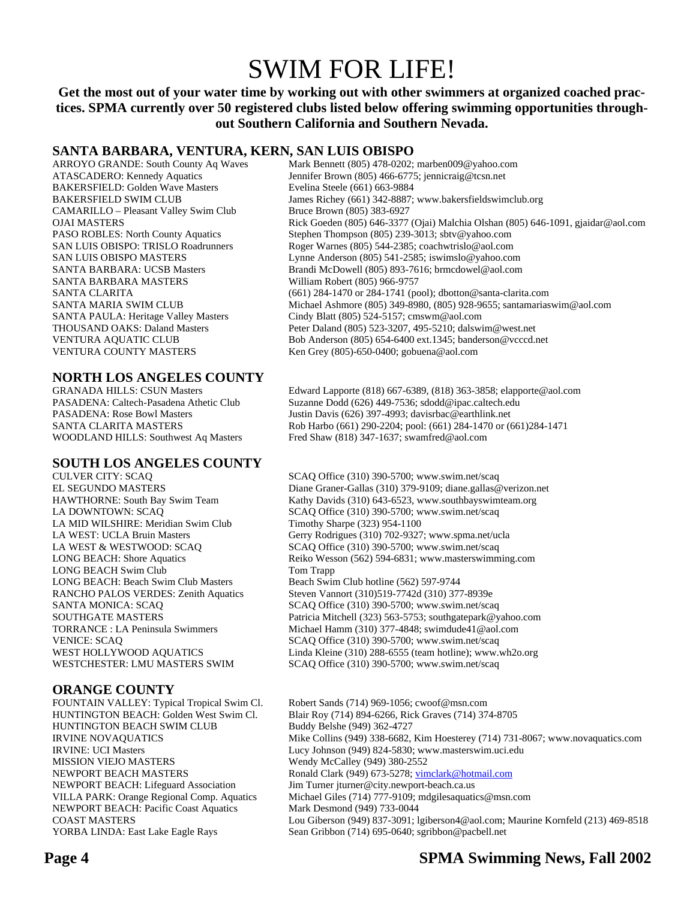# SWIM FOR LIFE!

### **Get the most out of your water time by working out with other swimmers at organized coached practices. SPMA currently over 50 registered clubs listed below offering swimming opportunities throughout Southern California and Southern Nevada.**

### **SANTA BARBARA, VENTURA, KERN, SAN LUIS OBISPO**

BAKERSFIELD: Golden Wave Masters Evelina Steele (661) 663-9884 CAMARILLO – Pleasant Valley Swim Club Bruce Brown (805) 383-6927 SANTA BARBARA MASTERS William Robert (805) 966-9757 VENTURA COUNTY MASTERS Ken Grey (805)-650-0400; gobuena@aol.com

### **NORTH LOS ANGELES COUNTY**

### **SOUTH LOS ANGELES COUNTY**

LA MID WILSHIRE: Meridian Swim Club Timothy Sharpe (323) 954-1100 LONG BEACH Swim Club Tom Trapp LONG BEACH: Beach Swim Club Masters Beach Swim Club hotline (562) 597-9744<br>RANCHO PALOS VERDES: Zenith Aquatics Steven Vannort (310)519-7742d (310) 37

### **ORANGE COUNTY**

FOUNTAIN VALLEY: Typical Tropical Swim Cl. Robert Sands (714) 969-1056; cwoof@msn.com HUNTINGTON BEACH SWIM CLUB Buddy Belshe (949) 362-4727 MISSION VIEJO MASTERS<br>
NewPORT BEACH MASTERS<br>
Ronald Clark (949) 673-5278; vin NEWPORT BEACH: Pacific Coast Aquatics Mark Desmond (949) 733-0044

ARROYO GRANDE: South County Aq Waves Mark Bennett (805) 478-0202; marben009@yahoo.com ATASCADERO: Kennedy Aquatics Jennifer Brown (805) 466-6775; jennicraig@tcsn.net BAKERSFIELD SWIM CLUB James Richey (661) 342-8887; www.bakersfieldswimclub.org OJAI MASTERS Rick Goeden (805) 646-3377 (Ojai) Malchia Olshan (805) 646-1091, gjaidar@aol.com PASO ROBLES: North County Aquatics Stephen Thompson (805) 239-3013; sbtv@yahoo.com SAN LUIS OBISPO: TRISLO Roadrunners Roger Warnes (805) 544-2385; coachwtrislo@aol.com SAN LUIS OBISPO MASTERS Lynne Anderson (805) 541-2585; iswimslo@yahoo.com SANTA BARBARA: UCSB Masters Brandi McDowell (805) 893-7616; brmcdowel@aol.com SANTA CLARITA (661) 284-1470 or 284-1741 (pool); dbotton@santa-clarita.com SANTA MARIA SWIM CLUB Michael Ashmore (805) 349-8980, (805) 928-9655; santamariaswim@aol.com SANTA PAULA: Heritage Valley Masters Cindy Blatt (805) 524-5157; cmswm@aol.com THOUSAND OAKS: Daland Masters Peter Daland (805) 523-3207, 495-5210; dalswim@west.net VENTURA AQUATIC CLUB Bob Anderson (805) 654-6400 ext.1345; banderson@vcccd.net

GRANADA HILLS: CSUN Masters Edward Lapporte (818) 667-6389, (818) 363-3858; elapporte@aol.com PASADENA: Caltech-Pasadena Athetic Club Suzanne Dodd (626) 449-7536; sdodd@ipac.caltech.edu Justin Davis (626) 397-4993; davisrbac@earthlink.net SANTA CLARITA MASTERS Rob Harbo (661) 290-2204; pool: (661) 284-1470 or (661)284-1471 WOODLAND HILLS: Southwest Aq Masters Fred Shaw (818) 347-1637; swamfred@aol.com

CULVER CITY: SCAQ SCAQ Office (310) 390-5700; www.swim.net/scaq EL SEGUNDO MASTERS Diane Graner-Gallas (310) 379-9109; diane.gallas @verizon.net<br>HAWTHORNE: South Bay Swim Team Kathy Davids (310) 643-6523, www.southbayswimteam.org Kathy Davids (310) 643-6523, www.southbayswimteam.org LA DOWNTOWN: SCAQ SCAQ SCAQ Office (310) 390-5700; www.swim.net/scaq LA WEST: UCLA Bruin Masters Gerry Rodrigues (310) 702-9327; www.spma.net/ucla<br>LA WEST & WESTWOOD: SCAQ SCAQ Office (310) 390-5700; www.swim.net/scaq SCAQ Office (310) 390-5700; www.swim.net/scaq LONG BEACH: Shore Aquatics Reiko Wesson (562) 594-6831; www.masterswimming.com Steven Vannort (310)519-7742d (310) 377-8939e SANTA MONICA: SCAQ SCAQ SCAQ Office (310) 390-5700; www.swim.net/scaq SOUTHGATE MASTERS Patricia Mitchell (323) 563-5753; southgatepark@yahoo.com TORRANCE : LA Peninsula Swimmers Michael Hamm (310) 377-4848; swimdude41@aol.com VENICE: SCAQ SCAQ Office (310) 390-5700; www.swim.net/scaq WEST HOLLYWOOD AQUATICS Linda Kleine (310) 288-6555 (team hotline); www.wh2o.org WESTCHESTER: LMU MASTERS SWIM SCAQ Office (310) 390-5700; www.swim.net/scaq

HUNTINGTON BEACH: Golden West Swim Cl. Blair Roy (714) 894-6266, Rick Graves (714) 374-8705 IRVINE NOVAQUATICS Mike Collins (949) 338-6682, Kim Hoesterey (714) 731-8067; www.novaquatics.com IRVINE: UCI Masters Lucy Johnson (949) 824-5830; www.masterswim.uci.edu NEWPORT BEACH MASTERS<br>
NEWPORT BEACH: Lifeguard Association Jim Turner jturner@city.newport-beach.ca.us Jim Turner jturner@city.newport-beach.ca.us VILLA PARK: Orange Regional Comp. Aquatics Michael Giles (714) 777-9109; mdgilesaquatics@msn.com COAST MASTERS Lou Giberson (949) 837-3091; lgiberson4@aol.com; Maurine Kornfeld (213) 469-8518 YORBA LINDA: East Lake Eagle Rays Sean Gribbon (714) 695-0640; sgribbon @pacbell.net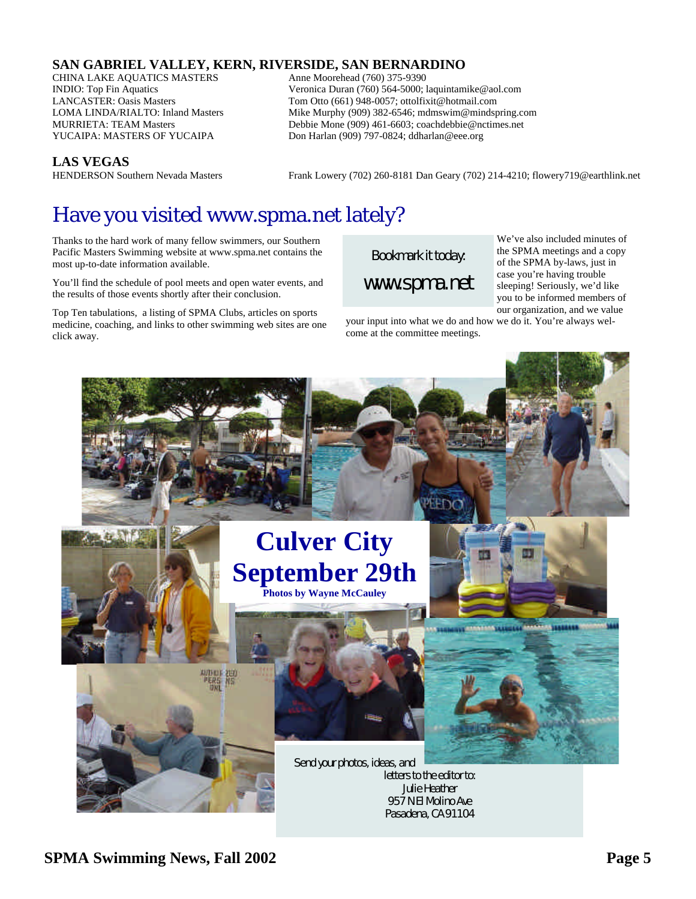### **SAN GABRIEL VALLEY, KERN, RIVERSIDE, SAN BERNARDINO**

CHINA LAKE AQUATICS MASTERS Anne Moorehead (760) 375-9390

INDIO: Top Fin Aquatics Veronica Duran (760) 564-5000; laquintamike@aol.com LANCASTER: Oasis Masters Tom Otto (661) 948-0057; ottolfixit@hotmail.com<br>
LOMA LINDA/RIALTO: Inland Masters Mike Murphy (909) 382-6546; mdmswim@mindsp LOMA LINDA/RIALTO: Inland Masters Mike Murphy (909) 382-6546; mdmswim@mindspring.com<br>MURRIETA: TEAM Masters Murphy (909) 461-6603: coachdebbie@nctimes.net Debbie Mone (909) 461-6603; coachdebbie@nctimes.net YUCAIPA: MASTERS OF YUCAIPA Don Harlan (909) 797-0824; ddharlan@eee.org

**LAS VEGAS**<br>**HENDERSON** Southern Nevada Masters

Frank Lowery (702) 260-8181 Dan Geary (702) 214-4210; flowery719@earthlink.net

# Have you visited www.spma.net lately?

Thanks to the hard work of many fellow swimmers, our Southern Pacific Masters Swimming website at www.spma.net contains the most up-to-date information available.

You'll find the schedule of pool meets and open water events, and the results of those events shortly after their conclusion.

Top Ten tabulations, a listing of SPMA Clubs, articles on sports medicine, coaching, and links to other swimming web sites are one click away.

*Bookmark it today: www.spma.net*

We've also included minutes of the SPMA meetings and a copy of the SPMA by-laws, just in case you're having trouble sleeping! Seriously, we'd like you to be informed members of our organization, and we value

your input into what we do and how we do it. You're always welcome at the committee meetings.

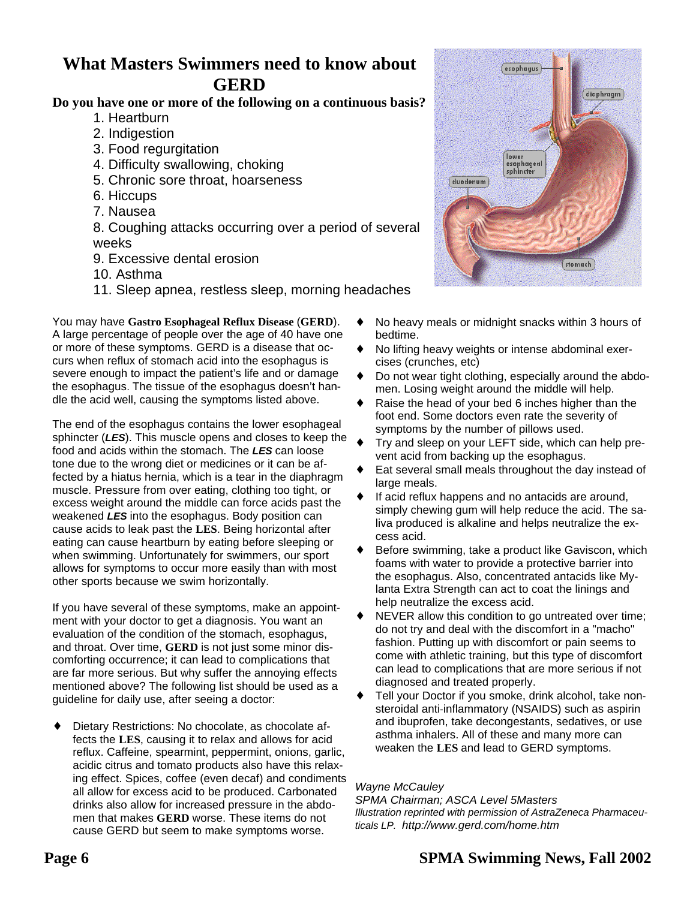### **What Masters Swimmers need to know about GERD**

### **Do you have one or more of the following on a continuous basis?**

- 1. Heartburn
- 2. Indigestion
- 3. Food regurgitation
- 4. Difficulty swallowing, choking
- 5. Chronic sore throat, hoarseness
- 6. Hiccups
- 7. Nausea

8. Coughing attacks occurring over a period of several weeks

- 9. Excessive dental erosion
- 10. Asthma
- 11. Sleep apnea, restless sleep, morning headaches

You may have **Gastro Esophageal Reflux Disease** (**GERD**). A large percentage of people over the age of 40 have one or more of these symptoms. GERD is a disease that occurs when reflux of stomach acid into the esophagus is severe enough to impact the patient's life and or damage the esophagus. The tissue of the esophagus doesn't handle the acid well, causing the symptoms listed above.

The end of the esophagus contains the lower esophageal sphincter (*LES*). This muscle opens and closes to keep the food and acids within the stomach. The *LES* can loose tone due to the wrong diet or medicines or it can be affected by a hiatus hernia, which is a tear in the diaphragm muscle. Pressure from over eating, clothing too tight, or excess weight around the middle can force acids past the weakened *LES* into the esophagus. Body position can cause acids to leak past the **LES**. Being horizontal after eating can cause heartburn by eating before sleeping or when swimming. Unfortunately for swimmers, our sport allows for symptoms to occur more easily than with most other sports because we swim horizontally.

If you have several of these symptoms, make an appointment with your doctor to get a diagnosis. You want an evaluation of the condition of the stomach, esophagus, and throat. Over time, **GERD** is not just some minor discomforting occurrence; it can lead to complications that are far more serious. But why suffer the annoying effects mentioned above? The following list should be used as a guideline for daily use, after seeing a doctor:

Dietary Restrictions: No chocolate, as chocolate affects the **LES**, causing it to relax and allows for acid reflux. Caffeine, spearmint, peppermint, onions, garlic, acidic citrus and tomato products also have this relaxing effect. Spices, coffee (even decaf) and condiments all allow for excess acid to be produced. Carbonated drinks also allow for increased pressure in the abdomen that makes **GERD** worse. These items do not cause GERD but seem to make symptoms worse.



- No heavy meals or midnight snacks within 3 hours of bedtime.
- ♦ No lifting heavy weights or intense abdominal exercises (crunches, etc)
- Do not wear tight clothing, especially around the abdomen. Losing weight around the middle will help.
- ♦ Raise the head of your bed 6 inches higher than the foot end. Some doctors even rate the severity of symptoms by the number of pillows used.
- Try and sleep on your LEFT side, which can help prevent acid from backing up the esophagus.
- Eat several small meals throughout the day instead of large meals.
- If acid reflux happens and no antacids are around, simply chewing gum will help reduce the acid. The saliva produced is alkaline and helps neutralize the excess acid.
- ♦ Before swimming, take a product like Gaviscon, which foams with water to provide a protective barrier into the esophagus. Also, concentrated antacids like Mylanta Extra Strength can act to coat the linings and help neutralize the excess acid.
- ♦ NEVER allow this condition to go untreated over time; do not try and deal with the discomfort in a "macho" fashion. Putting up with discomfort or pain seems to come with athletic training, but this type of discomfort can lead to complications that are more serious if not diagnosed and treated properly.
- ♦ Tell your Doctor if you smoke, drink alcohol, take nonsteroidal anti-inflammatory (NSAIDS) such as aspirin and ibuprofen, take decongestants, sedatives, or use asthma inhalers. All of these and many more can weaken the **LES** and lead to GERD symptoms.

### *Wayne McCauley*

*SPMA Chairman; ASCA Level 5Masters Illustration reprinted with permission of AstraZeneca Pharmaceuticals LP. http://www.gerd.com/home.htm*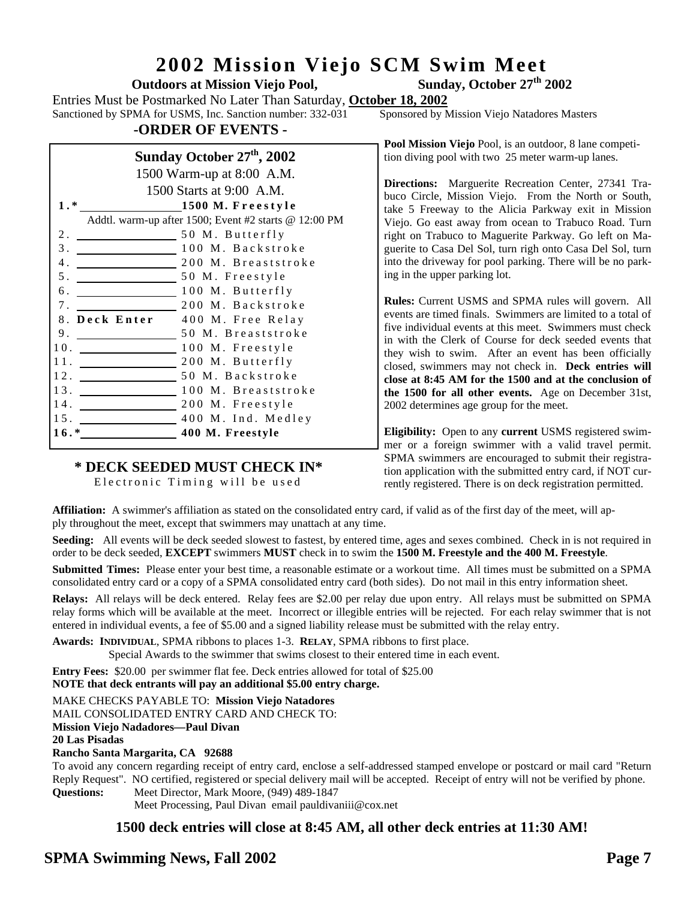# **2002 Mission Viejo SCM Swim Meet**

**Outdoors at Mission Viejo Pool,** 

Entries Must be Postmarked No Later Than Saturday, **October 18, 2002**

Sanctioned by SPMA for USMS, Inc. Sanction number: 332-031

### **-ORDER OF EVENTS -**

### **Sunday October 27th, 2002**

|        | 1500 Warm-up at 8:00 A.M.                             |                                 |  |  |  |  |
|--------|-------------------------------------------------------|---------------------------------|--|--|--|--|
|        | 1500 Starts at 9:00 A.M.                              |                                 |  |  |  |  |
| $1.*$  | 1500 M. Freestyle                                     |                                 |  |  |  |  |
|        | Addtl. warm-up after 1500; Event #2 starts @ 12:00 PM |                                 |  |  |  |  |
| 2.     |                                                       | 50 M. Butterfly                 |  |  |  |  |
| 3.     |                                                       | 100 M. Backstroke               |  |  |  |  |
| 4.     |                                                       | 200 M. Breaststroke             |  |  |  |  |
| 5.     |                                                       | 50 M. Freestyle                 |  |  |  |  |
| 6.     |                                                       | 100 M. Butterfly                |  |  |  |  |
| 7.     |                                                       | 200 M. Backstroke               |  |  |  |  |
|        |                                                       | 8. Deck Enter 400 M. Free Relay |  |  |  |  |
| 9.     |                                                       | 50 M. Breaststroke              |  |  |  |  |
| 10.    |                                                       | 100 M. Freestyle                |  |  |  |  |
|        |                                                       |                                 |  |  |  |  |
|        |                                                       | 12. 50 M. Backstroke            |  |  |  |  |
|        |                                                       | 13. 100 M. Breaststroke         |  |  |  |  |
|        | 14.                                                   | $\equiv$ 200 M. Freestyle       |  |  |  |  |
| 15.    |                                                       | 400 M. Ind. Medley              |  |  |  |  |
| $16.*$ |                                                       | 400 M. Freestyle                |  |  |  |  |
|        |                                                       |                                 |  |  |  |  |

### **\* DECK SEEDED MUST CHECK IN\***

 Electronic Timing will be used

**Pool Mission Viejo** Pool, is an outdoor, 8 lane competition diving pool with two 25 meter warm-up lanes.

**Directions:** Marguerite Recreation Center, 27341 Trabuco Circle, Mission Viejo. From the North or South, take 5 Freeway to the Alicia Parkway exit in Mission Viejo. Go east away from ocean to Trabuco Road. Turn right on Trabuco to Maguerite Parkway. Go left on Maguerite to Casa Del Sol, turn righ onto Casa Del Sol, turn into the driveway for pool parking. There will be no parking in the upper parking lot.

**Rules:** Current USMS and SPMA rules will govern. All events are timed finals. Swimmers are limited to a total of five individual events at this meet. Swimmers must check in with the Clerk of Course for deck seeded events that they wish to swim. After an event has been officially closed, swimmers may not check in. **Deck entries will close at 8:45 AM for the 1500 and at the conclusion of the 1500 for all other events.** Age on December 31st, 2002 determines age group for the meet.

**Eligibility:** Open to any **current** USMS registered swimmer or a foreign swimmer with a valid travel permit. SPMA swimmers are encouraged to submit their registration application with the submitted entry card, if NOT currently registered. There is on deck registration permitted.

**Affiliation:** A swimmer's affiliation as stated on the consolidated entry card, if valid as of the first day of the meet, will apply throughout the meet, except that swimmers may unattach at any time.

**Seeding:** All events will be deck seeded slowest to fastest, by entered time, ages and sexes combined. Check in is not required in order to be deck seeded, **EXCEPT** swimmers **MUST** check in to swim the **1500 M. Freestyle and the 400 M. Freestyle**.

**Submitted Times:** Please enter your best time, a reasonable estimate or a workout time. All times must be submitted on a SPMA consolidated entry card or a copy of a SPMA consolidated entry card (both sides). Do not mail in this entry information sheet.

**Relays:** All relays will be deck entered. Relay fees are \$2.00 per relay due upon entry. All relays must be submitted on SPMA relay forms which will be available at the meet. Incorrect or illegible entries will be rejected. For each relay swimmer that is not entered in individual events, a fee of \$5.00 and a signed liability release must be submitted with the relay entry.

**Awards: INDIVIDUAL**, SPMA ribbons to places 1-3. **RELAY**, SPMA ribbons to first place.

Special Awards to the swimmer that swims closest to their entered time in each event.

**Entry Fees:** \$20.00 per swimmer flat fee. Deck entries allowed for total of \$25.00

**NOTE that deck entrants will pay an additional \$5.00 entry charge.**

MAKE CHECKS PAYABLE TO: **Mission Viejo Natadores**

MAIL CONSOLIDATED ENTRY CARD AND CHECK TO:

**Mission Viejo Nadadores—Paul Divan** 

**20 Las Pisadas**

**Rancho Santa Margarita, CA 92688**

To avoid any concern regarding receipt of entry card, enclose a self-addressed stamped envelope or postcard or mail card "Return Reply Request". NO certified, registered or special delivery mail will be accepted. Receipt of entry will not be verified by phone. **Questions:** Meet Director, Mark Moore, (949) 489-1847

Meet Processing, Paul Divan email pauldivaniii@cox.net

### **1500 deck entries will close at 8:45 AM, all other deck entries at 11:30 AM!**

### **SPMA Swimming News, Fall 2002 Page 7**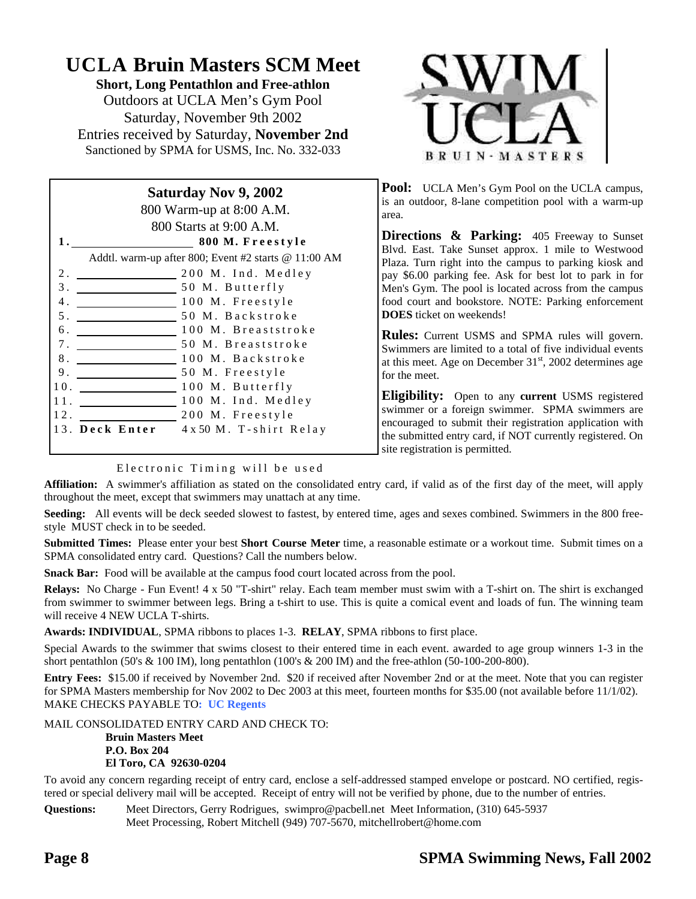## **UCLA Bruin Masters SCM Meet**

**Short, Long Pentathlon and Free-athlon** Outdoors at UCLA Men's Gym Pool Saturday, November 9th 2002 Entries received by Saturday, **November 2nd** Sanctioned by SPMA for USMS, Inc. No. 332-033

| <b>Saturday Nov 9, 2002</b> |                                                      |  |  |  |  |  |  |
|-----------------------------|------------------------------------------------------|--|--|--|--|--|--|
|                             | 800 Warm-up at 8:00 A.M.                             |  |  |  |  |  |  |
|                             | 800 Starts at 9:00 A.M.                              |  |  |  |  |  |  |
|                             | ___ 800 M. Freestyle                                 |  |  |  |  |  |  |
|                             | Addtl. warm-up after 800; Event #2 starts @ 11:00 AM |  |  |  |  |  |  |
| 2.                          | 200 M. Ind. Medley                                   |  |  |  |  |  |  |
| $\overline{3}$ .            | 50 M. Butterfly                                      |  |  |  |  |  |  |
| 4.                          | 100 M. Freestyle                                     |  |  |  |  |  |  |
| 5.                          | 50 M. Backstroke                                     |  |  |  |  |  |  |
| 6.                          | 100 M. Breaststroke                                  |  |  |  |  |  |  |
| 7.                          | 50 M. Breaststroke                                   |  |  |  |  |  |  |
| 8.                          | 100 M. Backstroke                                    |  |  |  |  |  |  |
| 9.                          | 50 M. Freestyle                                      |  |  |  |  |  |  |
| 10.                         | 100 M. Butterfly                                     |  |  |  |  |  |  |
| 11.                         | 100 M. Ind. Medley                                   |  |  |  |  |  |  |
| 12.                         | 200 M. Freestyle                                     |  |  |  |  |  |  |
|                             | 13. Deck Enter<br>4 x 50 M. T-shirt Relay            |  |  |  |  |  |  |
|                             |                                                      |  |  |  |  |  |  |



**Pool:** UCLA Men's Gym Pool on the UCLA campus, is an outdoor, 8-lane competition pool with a warm-up area.

**Directions & Parking:** 405 Freeway to Sunset Blvd. East. Take Sunset approx. 1 mile to Westwood Plaza. Turn right into the campus to parking kiosk and pay \$6.00 parking fee. Ask for best lot to park in for Men's Gym. The pool is located across from the campus food court and bookstore. NOTE: Parking enforcement **DOES** ticket on weekends!

**Rules:** Current USMS and SPMA rules will govern. Swimmers are limited to a total of five individual events at this meet. Age on December  $31<sup>st</sup>$ , 2002 determines age for the meet.

**Eligibility:** Open to any **current** USMS registered swimmer or a foreign swimmer. SPMA swimmers are encouraged to submit their registration application with the submitted entry card, if NOT currently registered. On site registration is permitted.

### Electronic Timing will be used

**Affiliation:** A swimmer's affiliation as stated on the consolidated entry card, if valid as of the first day of the meet, will apply throughout the meet, except that swimmers may unattach at any time.

**Seeding:** All events will be deck seeded slowest to fastest, by entered time, ages and sexes combined. Swimmers in the 800 freestyle MUST check in to be seeded.

**Submitted Times:** Please enter your best **Short Course Meter** time, a reasonable estimate or a workout time. Submit times on a SPMA consolidated entry card. Questions? Call the numbers below.

**Snack Bar:** Food will be available at the campus food court located across from the pool.

**Relays:** No Charge - Fun Event! 4 x 50 "T-shirt" relay. Each team member must swim with a T-shirt on. The shirt is exchanged from swimmer to swimmer between legs. Bring a t-shirt to use. This is quite a comical event and loads of fun. The winning team will receive 4 NEW UCLA T-shirts.

**Awards: INDIVIDUAL**, SPMA ribbons to places 1-3. **RELAY**, SPMA ribbons to first place.

Special Awards to the swimmer that swims closest to their entered time in each event. awarded to age group winners 1-3 in the short pentathlon (50's & 100 IM), long pentathlon (100's & 200 IM) and the free-athlon (50-100-200-800).

**Entry Fees:** \$15.00 if received by November 2nd. \$20 if received after November 2nd or at the meet. Note that you can register for SPMA Masters membership for Nov 2002 to Dec 2003 at this meet, fourteen months for \$35.00 (not available before 11/1/02). MAKE CHECKS PAYABLE TO**: UC Regents**

MAIL CONSOLIDATED ENTRY CARD AND CHECK TO:

**Bruin Masters Meet P.O. Box 204 El Toro, CA 92630-0204**

To avoid any concern regarding receipt of entry card, enclose a self-addressed stamped envelope or postcard. NO certified, registered or special delivery mail will be accepted. Receipt of entry will not be verified by phone, due to the number of entries.

**Questions:** Meet Directors, Gerry Rodrigues, swimpro@pacbell.net Meet Information, (310) 645-5937 Meet Processing, Robert Mitchell (949) 707-5670, mitchellrobert@home.com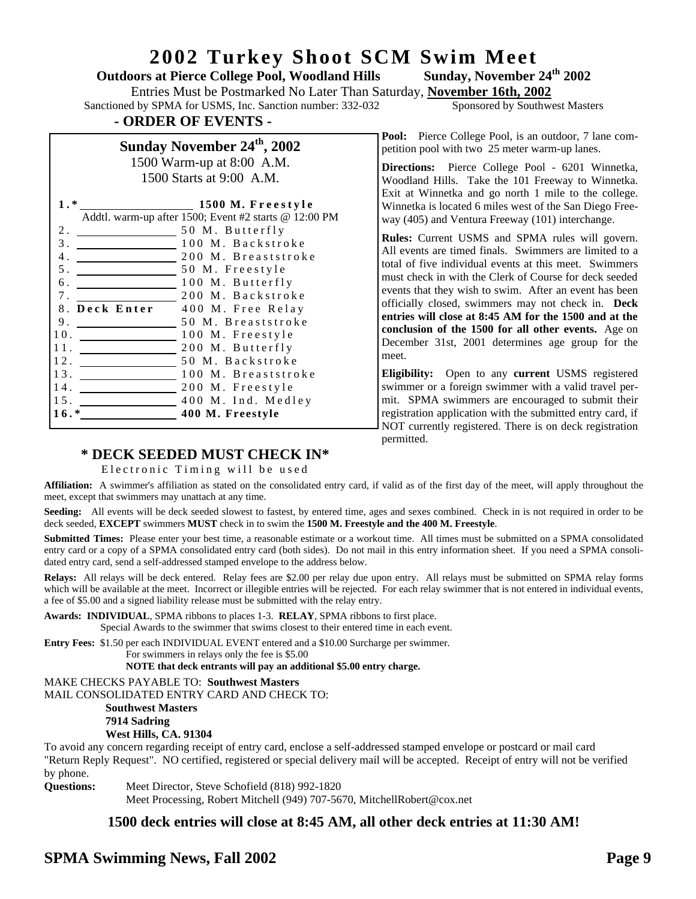### **2002 Turkey Shoot SCM Swim Meet**

### **Outdoors at Pierce College Pool, Woodland Hills Sunday, November 24th 2002**

Entries Must be Postmarked No Later Than Saturday, **November 16th, 2002** Sanctioned by SPMA for USMS, Inc. Sanction number: 332-032 Sponsored by Southwest Masters

### **- ORDER OF EVENTS -**

### **Sunday November 24th, 2002** 1500 Warm-up at 8:00 A.M.

1500 Starts at 9:00 A.M.

| $1.*$            | 1500 M. Freestyle                                     |
|------------------|-------------------------------------------------------|
|                  | Addtl. warm-up after 1500; Event #2 starts @ 12:00 PM |
| 2.               | 50 M. Butterfly                                       |
| 3.               | 100 M. Backstroke                                     |
| 4.               | 200 M. Breaststroke                                   |
| 5 <sub>1</sub>   | 50 M. Freestyle                                       |
| б.               | 100 M. Butterfly                                      |
| 7 <sub>1</sub>   | 200 M. Backstroke                                     |
| Deck Enter<br>8. | 400 M. Free Relay                                     |
| 9.               | 50 M. Breaststroke                                    |
| 10.              | 100 M. Freestyle                                      |
| 11.              | 200 M. Butterfly                                      |
| 12.              | 50 M. Backstroke                                      |
| 13.              | 100 M. Breaststroke                                   |
| 14.              | 200 M. Freestyle                                      |
| 15.              | 400 M. Ind. Medley                                    |
| 16.*             | 400 M. Freestyle                                      |
|                  |                                                       |

Pool: Pierce College Pool, is an outdoor, 7 lane competition pool with two 25 meter warm-up lanes.

**Directions:** Pierce College Pool - 6201 Winnetka, Woodland Hills. Take the 101 Freeway to Winnetka. Exit at Winnetka and go north 1 mile to the college. Winnetka is located 6 miles west of the San Diego Freeway (405) and Ventura Freeway (101) interchange.

**Rules:** Current USMS and SPMA rules will govern. All events are timed finals. Swimmers are limited to a total of five individual events at this meet. Swimmers must check in with the Clerk of Course for deck seeded events that they wish to swim. After an event has been officially closed, swimmers may not check in. **Deck entries will close at 8:45 AM for the 1500 and at the conclusion of the 1500 for all other events.** Age on December 31st, 2001 determines age group for the meet.

**Eligibility:** Open to any **current** USMS registered swimmer or a foreign swimmer with a valid travel permit. SPMA swimmers are encouraged to submit their registration application with the submitted entry card, if NOT currently registered. There is on deck registration permitted.

### **\* DECK SEEDED MUST CHECK IN\***

### Electronic Timing will be used

**Affiliation:** A swimmer's affiliation as stated on the consolidated entry card, if valid as of the first day of the meet, will apply throughout the meet, except that swimmers may unattach at any time.

Seeding: All events will be deck seeded slowest to fastest, by entered time, ages and sexes combined. Check in is not required in order to be deck seeded, **EXCEPT** swimmers **MUST** check in to swim the **1500 M. Freestyle and the 400 M. Freestyle**.

**Submitted Times:** Please enter your best time, a reasonable estimate or a workout time. All times must be submitted on a SPMA consolidated entry card or a copy of a SPMA consolidated entry card (both sides). Do not mail in this entry information sheet. If you need a SPMA consolidated entry card, send a self-addressed stamped envelope to the address below.

**Relays:** All relays will be deck entered. Relay fees are \$2.00 per relay due upon entry. All relays must be submitted on SPMA relay forms which will be available at the meet. Incorrect or illegible entries will be rejected. For each relay swimmer that is not entered in individual events, a fee of \$5.00 and a signed liability release must be submitted with the relay entry.

**Awards: INDIVIDUAL**, SPMA ribbons to places 1-3. **RELAY**, SPMA ribbons to first place. Special Awards to the swimmer that swims closest to their entered time in each event.

**Entry Fees:** \$1.50 per each INDIVIDUAL EVENT entered and a \$10.00 Surcharge per swimmer.

For swimmers in relays only the fee is \$5.00

 **NOTE that deck entrants will pay an additional \$5.00 entry charge.**

### MAKE CHECKS PAYABLE TO: **Southwest Masters**

MAIL CONSOLIDATED ENTRY CARD AND CHECK TO:

### **Southwest Masters**

### **7914 Sadring**

### **West Hills, CA. 91304**

To avoid any concern regarding receipt of entry card, enclose a self-addressed stamped envelope or postcard or mail card "Return Reply Request". NO certified, registered or special delivery mail will be accepted. Receipt of entry will not be verified by phone.

**Questions:** Meet Director, Steve Schofield (818) 992-1820

Meet Processing, Robert Mitchell (949) 707-5670, MitchellRobert@cox.net

### **1500 deck entries will close at 8:45 AM, all other deck entries at 11:30 AM!**

### **SPMA Swimming News, Fall 2002 Page 9**